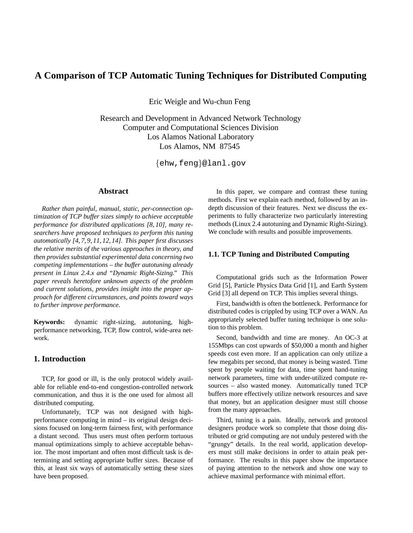# **A Comparison of TCP Automatic Tuning Techniques for Distributed Computing**

Eric Weigle and Wu-chun Feng

Research and Development in Advanced Network Technology Computer and Computational Sciences Division Los Alamos National Laboratory Los Alamos, NM 87545

{ehw,feng}@lanl.gov

# **Abstract**

*Rather than painful, manual, static, per-connection optimization of TCP buffer sizes simply to achieve acceptable performance for distributed applications [8, 10], many researchers have proposed techniques to perform this tuning automatically [4, 7, 9, 11, 12, 14]. This paper first discusses the relative merits of the various approaches in theory, and then provides substantial experimental data concerning two competing implementations – the buffer autotuning already present in Linux 2.4.x and "Dynamic Right-Sizing." This paper reveals heretofore unknown aspects of the problem and current solutions, provides insight into the proper approach for different circumstances, and points toward ways to further improve performance.*

**Keywords:** dynamic right-sizing, autotuning, highperformance networking, TCP, flow control, wide-area network.

# **1. Introduction**

TCP, for good or ill, is the only protocol widely available for reliable end-to-end congestion-controlled network communication, and thus it is the one used for almost all distributed computing.

Unfortunately, TCP was not designed with highperformance computing in mind – its original design decisions focused on long-term fairness first, with performance a distant second. Thus users must often perform tortuous manual optimizations simply to achieve acceptable behavior. The most important and often most difficult task is determining and setting appropriate buffer sizes. Because of this, at least six ways of automatically setting these sizes have been proposed.

In this paper, we compare and contrast these tuning methods. First we explain each method, followed by an indepth discussion of their features. Next we discuss the experiments to fully characterize two particularly interesting methods (Linux 2.4 autotuning and Dynamic Right-Sizing). We conclude with results and possible improvements.

### **1.1. TCP Tuning and Distributed Computing**

Computational grids such as the Information Power Grid [5], Particle Physics Data Grid [1], and Earth System Grid [3] all depend on TCP. This implies several things.

First, bandwidth is often the bottleneck. Performance for distributed codes is crippled by using TCP over a WAN. An appropriately selected buffer tuning technique is one solution to this problem.

Second, bandwidth and time are money. An OC-3 at 155Mbps can cost upwards of \$50,000 a month and higher speeds cost even more. If an application can only utilize a few megabits per second, that money is being wasted. Time spent by people waiting for data, time spent hand-tuning network parameters, time with under-utilized compute resources – also wasted money. Automatically tuned TCP buffers more effectively utilize network resources and save that money, but an application designer must still choose from the many approaches.

Third, tuning is a pain. Ideally, network and protocol designers produce work so complete that those doing distributed or grid computing are not unduly pestered with the "grungy" details. In the real world, application developers must still make decisions in order to attain peak performance. The results in this paper show the importance of paying attention to the network and show one way to achieve maximal performance with minimal effort.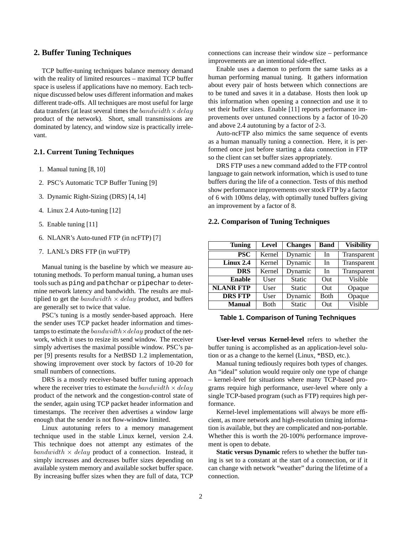# **2. Buffer Tuning Techniques**

TCP buffer-tuning techniques balance memory demand with the reality of limited resources – maximal TCP buffer space is useless if applications have no memory. Each technique discussed below uses different information and makes different trade-offs. All techniques are most useful for large data transfers (at least several times the bandwidth  $\times$  delay product of the network). Short, small transmissions are dominated by latency, and window size is practically irrelevant.

#### **2.1. Current Tuning Techniques**

- 1. Manual tuning [8, 10]
- 2. PSC's Automatic TCP Buffer Tuning [9]
- 3. Dynamic Right-Sizing (DRS) [4, 14]
- 4. Linux 2.4 Auto-tuning [12]
- 5. Enable tuning [11]
- 6. NLANR's Auto-tuned FTP (in ncFTP) [7]

#### 7. LANL's DRS FTP (in wuFTP)

Manual tuning is the baseline by which we measure autotuning methods. To perform manual tuning, a human uses tools such as ping and pathchar or pipechar to determine network latency and bandwidth. The results are multiplied to get the *bandwidth*  $\times$  *delay* product, and buffers are generally set to twice that value.

PSC's tuning is a mostly sender-based approach. Here the sender uses TCP packet header information and timestamps to estimate the *bandwidth* $\times$ *delay* product of the network, which it uses to resize its send window. The receiver simply advertises the maximal possible window. PSC's paper [9] presents results for a NetBSD 1.2 implementation, showing improvement over stock by factors of 10-20 for small numbers of connections.

DRS is a mostly receiver-based buffer tuning approach where the receiver tries to estimate the bandwidth  $\times$  delay product of the network and the congestion-control state of the sender, again using TCP packet header information and timestamps. The receiver then advertises a window large enough that the sender is not flow-window limited.

Linux autotuning refers to a memory management technique used in the stable Linux kernel, version 2.4. This technique does not attempt any estimates of the bandwidth  $\times$  delay product of a connection. Instead, it simply increases and decreases buffer sizes depending on available system memory and available socket buffer space. By increasing buffer sizes when they are full of data, TCP connections can increase their window size – performance improvements are an intentional side-effect.

Enable uses a daemon to perform the same tasks as a human performing manual tuning. It gathers information about every pair of hosts between which connections are to be tuned and saves it in a database. Hosts then look up this information when opening a connection and use it to set their buffer sizes. Enable [11] reports performance improvements over untuned connections by a factor of 10-20 and above 2.4 autotuning by a factor of 2-3.

Auto-ncFTP also mimics the same sequence of events as a human manually tuning a connection. Here, it is performed once just before starting a data connection in FTP so the client can set buffer sizes appropriately.

DRS FTP uses a new command added to the FTP control language to gain network information, which is used to tune buffers during the life of a connection. Tests of this method show performance improvements over stock FTP by a factor of 6 with 100ms delay, with optimally tuned buffers giving an improvement by a factor of 8.

## **2.2. Comparison of Tuning Techniques**

| <b>Tuning</b>    | Level        | <b>Changes</b> | Band         | <b>Visibility</b> |
|------------------|--------------|----------------|--------------|-------------------|
| <b>PSC</b>       | Kernel       | Dynamic        | In           | Transparent       |
| Linux 2.4        | Kernel       | Dynamic        | In           | Transparent       |
| <b>DRS</b>       | Kernel       | Dynamic        | In           | Transparent       |
| <b>Enable</b>    | User         | <b>Static</b>  | Out          | Visible           |
| <b>NLANR FTP</b> | User         | <b>Static</b>  | Out          | Opaque            |
| <b>DRS FTP</b>   | User         | Dynamic        | <b>B</b> oth | Opaque            |
| <b>Manual</b>    | <b>B</b> oth | <b>Static</b>  | Out          | Visible           |

**Table 1. Comparison of Tuning Techniques**

**User-level versus Kernel-level** refers to whether the buffer tuning is accomplished as an application-level solution or as a change to the kernel (Linux, \*BSD, etc.).

Manual tuning tediously requires both types of changes. An "ideal" solution would require only one type of change – kernel-level for situations where many TCP-based programs require high performance, user-level where only a single TCP-based program (such as FTP) requires high performance.

Kernel-level implementations will always be more efficient, as more network and high-resolution timing information is available, but they are complicated and non-portable. Whether this is worth the 20-100% performance improvement is open to debate.

**Static versus Dynamic** refers to whether the buffer tuning is set to a constant at the start of a connection, or if it can change with network "weather" during the lifetime of a connection.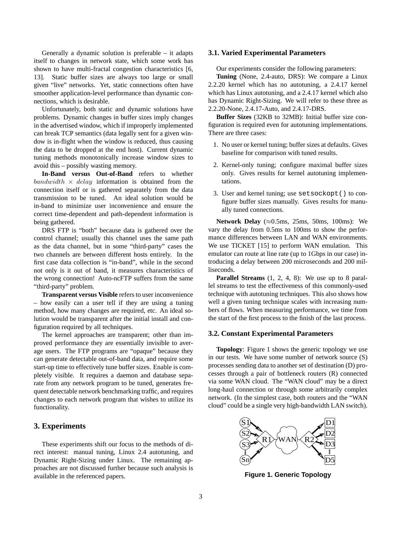Generally a dynamic solution is preferable – it adapts itself to changes in network state, which some work has shown to have multi-fractal congestion characteristics [6, 13]. Static buffer sizes are always too large or small given "live" networks. Yet, static connections often have smoother application-level performance than dynamic connections, which is desirable.

Unfortunately, both static and dynamic solutions have problems. Dynamic changes in buffer sizes imply changes in the advertised window, which if improperly implemented can break TCP semantics (data legally sent for a given window is in-flight when the window is reduced, thus causing the data to be dropped at the end host). Current dynamic tuning methods monotonically increase window sizes to avoid this – possibly wasting memory.

**In-Band versus Out-of-Band** refers to whether bandwidth  $\times$  delay information is obtained from the connection itself or is gathered separately from the data transmission to be tuned. An ideal solution would be in-band to minimize user inconvenience and ensure the correct time-dependent and path-dependent information is being gathered.

DRS FTP is "both" because data is gathered over the control channel; usually this channel uses the same path as the data channel, but in some "third-party" cases the two channels are between different hosts entirely. In the first case data collection is "in-band", while in the second not only is it out of band, it measures characteristics of the wrong connection! Auto-ncFTP suffers from the same "third-party" problem.

**Transparent versus Visible** refers to user inconvenience – how easily can a user tell if they are using a tuning method, how many changes are required, etc. An ideal solution would be transparent after the initial install and configuration required by all techniques.

The kernel approaches are transparent; other than improved performance they are essentially invisible to average users. The FTP programs are "opaque" because they can generate detectable out-of-band data, and require some start-up time to effectively tune buffer sizes. Enable is completely visible. It requires a daemon and database separate from any network program to be tuned, generates frequent detectable network benchmarking traffic, and requires changes to each network program that wishes to utilize its functionality.

# **3. Experiments**

These experiments shift our focus to the methods of direct interest: manual tuning, Linux 2.4 autotuning, and Dynamic Right-Sizing under Linux. The remaining approaches are not discussed further because such analysis is available in the referenced papers.

#### **3.1. Varied Experimental Parameters**

Our experiments consider the following parameters:

**Tuning** (None, 2.4-auto, DRS): We compare a Linux 2.2.20 kernel which has no autotuning, a 2.4.17 kernel which has Linux autotuning, and a 2.4.17 kernel which also has Dynamic Right-Sizing. We will refer to these three as 2.2.20-None, 2.4.17-Auto, and 2.4.17-DRS.

**Buffer Sizes** (32KB to 32MB): Initial buffer size configuration is required even for autotuning implementations. There are three cases:

- 1. No user or kernel tuning; buffer sizes at defaults. Gives baseline for comparison with tuned results.
- 2. Kernel-only tuning; configure maximal buffer sizes only. Gives results for kernel autotuning implementations.
- 3. User and kernel tuning; use setsockopt() to configure buffer sizes manually. Gives results for manually tuned connections.

**Network Delay** ( $\approx 0.5$ ms, 25ms, 50ms, 100ms): We vary the delay from 0.5ms to 100ms to show the performance differences between LAN and WAN environments. We use TICKET [15] to perform WAN emulation. This emulator can route at line rate (up to 1Gbps in our case) introducing a delay between 200 microseconds and 200 milliseconds.

**Parallel Streams** (1, 2, 4, 8): We use up to 8 parallel streams to test the effectiveness of this commonly-used technique with autotuning techniques. This also shows how well a given tuning technique scales with increasing numbers of flows. When measuring performance, we time from the start of the first process to the finish of the last process.

#### **3.2. Constant Experimental Parameters**

**Topology:** Figure 1 shows the generic topology we use in our tests. We have some number of network source (S) processes sending data to another set of destination (D) processes through a pair of bottleneck routers (R) connected via some WAN cloud. The "WAN cloud" may be a direct long-haul connection or through some arbitrarily complex network. (In the simplest case, both routers and the "WAN cloud" could be a single very high-bandwidth LAN switch).



**Figure 1. Generic Topology**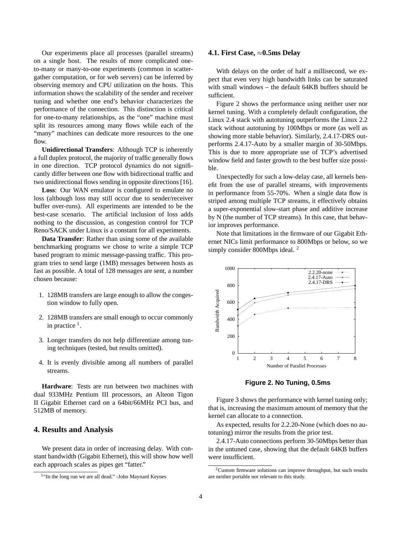Our experiments place all processes (parallel streams) on a single host. The results of more complicated oneto-many or many-to-one experiments (common in scattergather computation, or for web servers) can be inferred by observing memory and CPU utilization on the hosts. This information shows the scalability of the sender and receiver tuning and whether one end's behavior characterizes the performance of the connection. This distinction is critical for one-to-many relationships, as the "one" machine must split its resources among many flows while each of the "many" machines can dedicate more resources to the one flow.

**Unidirectional Transfers**: Although TCP is inherently a full duplex protocol, the majority of traffic generally flows in one direction. TCP protocol dynamics do not significantly differ between one flow with bidirectional traffic and two unidirectional flows sending in opposite directions [16].

**Loss**: Our WAN emulator is configured to emulate no loss (although loss may still occur due to sender/receiver buffer over-runs). All experiments are intended to be the best-case scenario. The artificial inclusion of loss adds nothing to the discussion, as congestion control for TCP Reno/SACK under Linux is a constant for all experiments.

**Data Transfer**: Rather than using some of the available benchmarking programs we chose to write a simple TCP based program to mimic message-passing traffic. This program tries to send large (1MB) messages between hosts as fast as possible. A total of 128 messages are sent, a number chosen because:

- 1. 128MB transfers are large enough to allow the congestion window to fully open.
- 2. 128MB transfers are small enough to occur commonly in practice<sup>1</sup>.
- 3. Longer transfers do not help differentiate among tuning techniques (tested, but results omitted).
- 4. It is evenly divisible among all numbers of parallel streams.

**Hardware**: Tests are run between two machines with dual 933MHz Pentium III processors, an Alteon Tigon II Gigabit Ethernet card on a 64bit/66MHz PCI bus, and 512MB of memory.

# **4. Results and Analysis**

We present data in order of increasing delay. With constant bandwidth (Gigabit Ethernet), this will show how well each approach scales as pipes get "fatter."

#### **4.1. First Case,** ≈**0.5ms Delay**

With delays on the order of half a millisecond, we expect that even very high bandwidth links can be saturated with small windows – the default 64KB buffers should be sufficient.

Figure 2 shows the performance using neither user nor kernel tuning. With a completely default configuration, the Linux 2.4 stack with autotuning outperforms the Linux 2.2 stack without autotuning by 100Mbps or more (as well as showing more stable behavior). Similarly, 2.4.17-DRS outperforms 2.4.17-Auto by a smaller margin of 30-50Mbps. This is due to more appropriate use of TCP's advertised window field and faster growth to the best buffer size possible.

Unexpectedly for such a low-delay case, all kernels benefit from the use of parallel streams, with improvements in performance from 55-70%. When a single data flow is striped among multiple TCP streams, it effectively obtains a super-exponential slow-start phase and additive increase by N (the number of TCP streams). In this case, that behavior improves performance.

Note that limitations in the firmware of our Gigabit Ethernet NICs limit performance to 800Mbps or below, so we simply consider 800Mbps ideal. <sup>2</sup>



**Figure 2. No Tuning, 0.5ms**

Figure 3 shows the performance with kernel tuning only; that is, increasing the maximum amount of memory that the kernel can allocate to a connection.

As expected, results for 2.2.20-None (which does no autotuning) mirror the results from the prior test.

2.4.17-Auto connections perform 30-50Mbps better than in the untuned case, showing that the default 64KB buffers were insufficient.

<sup>&</sup>lt;sup>1</sup>"In the long run we are all dead." -John Maynard Keynes

<sup>2</sup>Custom firmware solutions can improve throughput, but such results are neither portable nor relevant to this study.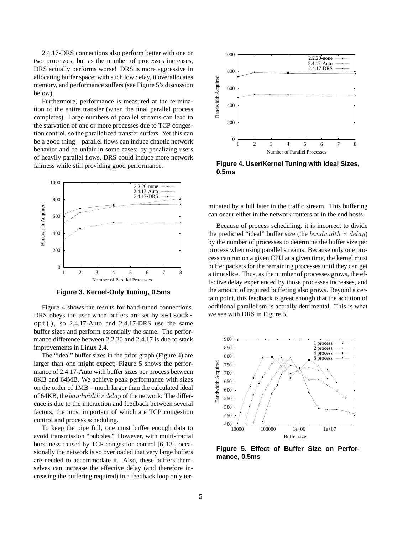2.4.17-DRS connections also perform better with one or two processes, but as the number of processes increases, DRS actually performs worse! DRS is more aggressive in allocating buffer space; with such low delay, it overallocates memory, and performance suffers (see Figure 5's discussion below).

Furthermore, performance is measured at the termination of the entire transfer (when the final parallel process completes). Large numbers of parallel streams can lead to the starvation of one or more processes due to TCP congestion control, so the parallelized transfer suffers. Yet this can be a good thing – parallel flows can induce chaotic network behavior and be unfair in some cases; by penalizing users of heavily parallel flows, DRS could induce more network fairness while still providing good performance.



**Figure 3. Kernel-Only Tuning, 0.5ms**

Figure 4 shows the results for hand-tuned connections. DRS obeys the user when buffers are set by setsockopt(), so 2.4.17-Auto and 2.4.17-DRS use the same buffer sizes and perform essentially the same. The performance difference between 2.2.20 and 2.4.17 is due to stack improvements in Linux 2.4.

The "ideal" buffer sizes in the prior graph (Figure 4) are larger than one might expect; Figure 5 shows the performance of 2.4.17-Auto with buffer sizes per process between 8KB and 64MB. We achieve peak performance with sizes on the order of 1MB – much larger than the calculated ideal of 64KB, the bandwidth  $\times$  delay of the network. The difference is due to the interaction and feedback between several factors, the most important of which are TCP congestion control and process scheduling.

To keep the pipe full, one must buffer enough data to avoid transmission "bubbles." However, with multi-fractal burstiness caused by TCP congestion control [6, 13], occasionally the network is so overloaded that very large buffers are needed to accommodate it. Also, these buffers themselves can increase the effective delay (and therefore increasing the buffering required) in a feedback loop only ter-



**Figure 4. User/Kernel Tuning with Ideal Sizes, 0.5ms**

minated by a lull later in the traffic stream. This buffering can occur either in the network routers or in the end hosts.

Because of process scheduling, it is incorrect to divide the predicted "ideal" buffer size (the bandwidth  $\times$  delay) by the number of processes to determine the buffer size per process when using parallel streams. Because only one process can run on a given CPU at a given time, the kernel must buffer packets for the remaining processes until they can get a time slice. Thus, as the number of processes grows, the effective delay experienced by those processes increases, and the amount of required buffering also grows. Beyond a certain point, this feedback is great enough that the addition of additional parallelism is actually detrimental. This is what we see with DRS in Figure 5.



**Figure 5. Effect of Buffer Size on Performance, 0.5ms**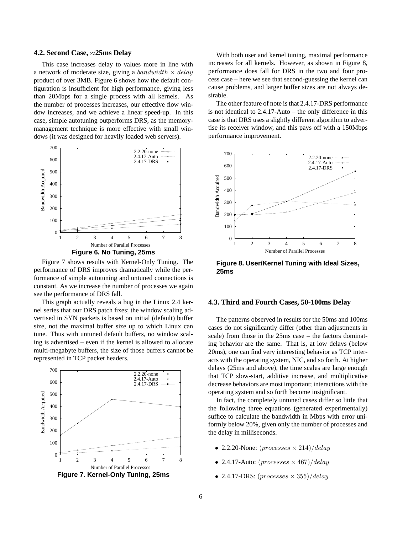#### **4.2. Second Case,** ≈**25ms Delay**

This case increases delay to values more in line with a network of moderate size, giving a bandwidth  $\times$  delay product of over 3MB. Figure 6 shows how the default configuration is insufficient for high performance, giving less than 20Mbps for a single process with all kernels. As the number of processes increases, our effective flow window increases, and we achieve a linear speed-up. In this case, simple autotuning outperforms DRS, as the memorymanagement technique is more effective with small windows (it was designed for heavily loaded web servers).



Figure 7 shows results with Kernel-Only Tuning. The performance of DRS improves dramatically while the performance of simple autotuning and untuned connections is constant. As we increase the number of processes we again see the performance of DRS fall.

This graph actually reveals a bug in the Linux 2.4 kernel series that our DRS patch fixes; the window scaling advertised in SYN packets is based on initial (default) buffer size, not the maximal buffer size up to which Linux can tune. Thus with untuned default buffers, no window scaling is advertised – even if the kernel is allowed to allocate multi-megabyte buffers, the size of those buffers cannot be represented in TCP packet headers.



With both user and kernel tuning, maximal performance increases for all kernels. However, as shown in Figure 8, performance does fall for DRS in the two and four process case – here we see that second-guessing the kernel can cause problems, and larger buffer sizes are not always desirable.

The other feature of note is that 2.4.17-DRS performance is not identical to 2.4.17-Auto – the only difference in this case is that DRS uses a slightly different algorithm to advertise its receiver window, and this pays off with a 150Mbps performance improvement.



**Figure 8. User/Kernel Tuning with Ideal Sizes, 25ms**

#### **4.3. Third and Fourth Cases, 50-100ms Delay**

The patterns observed in results for the 50ms and 100ms cases do not significantly differ (other than adjustments in scale) from those in the 25ms case – the factors dominating behavior are the same. That is, at low delays (below 20ms), one can find very interesting behavior as TCP interacts with the operating system, NIC, and so forth. At higher delays (25ms and above), the time scales are large enough that TCP slow-start, additive increase, and multiplicative decrease behaviors are most important; interactions with the operating system and so forth become insignificant.

In fact, the completely untuned cases differ so little that the following three equations (generated experimentally) suffice to calculate the bandwidth in Mbps with error uniformly below 20%, given only the number of processes and the delay in milliseconds.

- 2.2.20-None:  $(processes \times 214)/delay$
- 2.4.17-Auto:  $(processes \times 467)/delay$
- 2.4.17-DRS:  $(processes \times 355)/delay$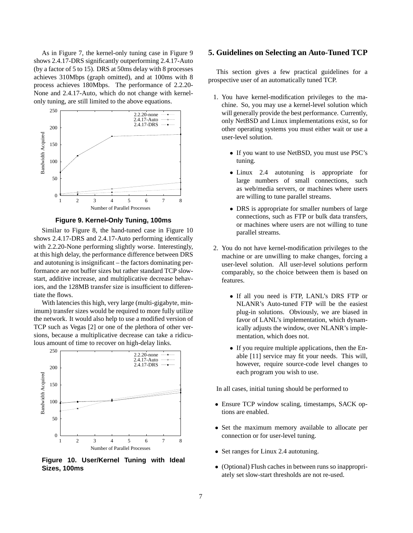As in Figure 7, the kernel-only tuning case in Figure 9 shows 2.4.17-DRS significantly outperforming 2.4.17-Auto (by a factor of 5 to 15). DRS at 50ms delay with 8 processes achieves 310Mbps (graph omitted), and at 100ms with 8 process achieves 180Mbps. The performance of 2.2.20- None and 2.4.17-Auto, which do not change with kernelonly tuning, are still limited to the above equations.



**Figure 9. Kernel-Only Tuning, 100ms**

Similar to Figure 8, the hand-tuned case in Figure 10 shows 2.4.17-DRS and 2.4.17-Auto performing identically with 2.2.20-None performing slightly worse. Interestingly, at this high delay, the performance difference between DRS and autotuning is insignificant – the factors dominating performance are not buffer sizes but rather standard TCP slowstart, additive increase, and multiplicative decrease behaviors, and the 128MB transfer size is insufficient to differentiate the flows.

With latencies this high, very large (multi-gigabyte, minimum) transfer sizes would be required to more fully utilize the network. It would also help to use a modified version of TCP such as Vegas [2] or one of the plethora of other versions, because a multiplicative decrease can take a ridiculous amount of time to recover on high-delay links.



**Figure 10. User/Kernel Tuning with Ideal Sizes, 100ms**

# **5. Guidelines on Selecting an Auto-Tuned TCP**

This section gives a few practical guidelines for a prospective user of an automatically tuned TCP.

- 1. You have kernel-modification privileges to the machine. So, you may use a kernel-level solution which will generally provide the best performance. Currently, only NetBSD and Linux implementations exist, so for other operating systems you must either wait or use a user-level solution.
	- If you want to use NetBSD, you must use PSC's tuning.
	- Linux 2.4 autotuning is appropriate for large numbers of small connections, such as web/media servers, or machines where users are willing to tune parallel streams.
	- DRS is appropriate for smaller numbers of large connections, such as FTP or bulk data transfers, or machines where users are not willing to tune parallel streams.
- 2. You do not have kernel-modification privileges to the machine or are unwilling to make changes, forcing a user-level solution. All user-level solutions perform comparably, so the choice between them is based on features.
	- If all you need is FTP, LANL's DRS FTP or NLANR's Auto-tuned FTP will be the easiest plug-in solutions. Obviously, we are biased in favor of LANL's implementation, which dynamically adjusts the window, over NLANR's implementation, which does not.
	- If you require multiple applications, then the Enable [11] service may fit your needs. This will, however, require source-code level changes to each program you wish to use.

In all cases, initial tuning should be performed to

- Ensure TCP window scaling, timestamps, SACK options are enabled.
- Set the maximum memory available to allocate per connection or for user-level tuning.
- Set ranges for Linux 2.4 autotuning.
- (Optional) Flush caches in between runs so inappropriately set slow-start thresholds are not re-used.